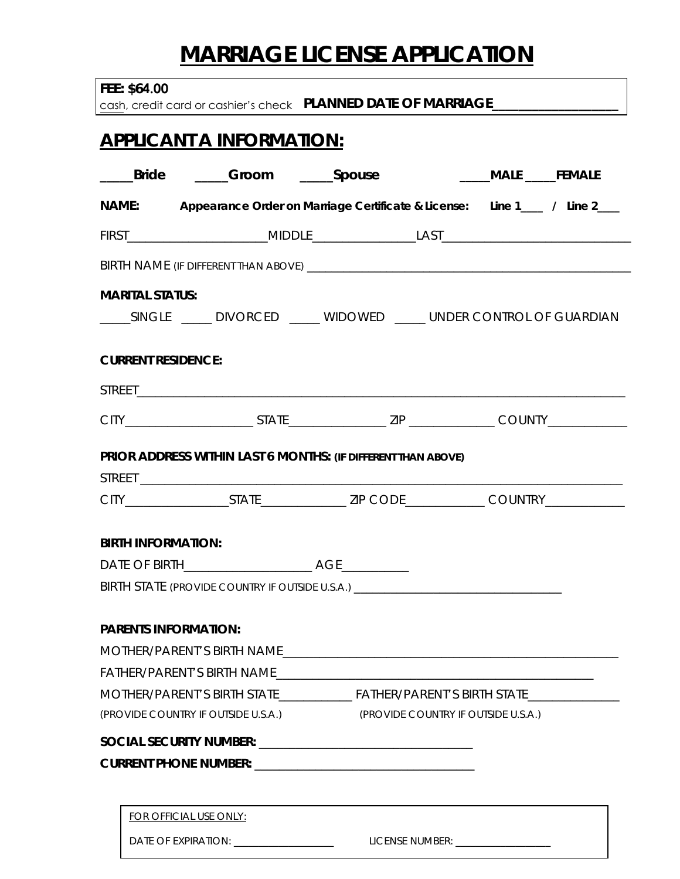## **MARRIAGE LICENSE APPLICATION**

|  | FEE: \$64.00 |  |
|--|--------------|--|
|--|--------------|--|

cash, credit card or cashier's check **PLANNED DATE OF MARRIAGE\_** 

## **APPLICANT A INFORMATION:**

| _____Bride                | _____Groom ______Spouse                                                          |                                     | _____MALE _____FEMALE                                                           |
|---------------------------|----------------------------------------------------------------------------------|-------------------------------------|---------------------------------------------------------------------------------|
|                           |                                                                                  |                                     | NAME: Appearance Order on Marriage Certificate & License: Line 1___ / Line 2___ |
|                           |                                                                                  |                                     |                                                                                 |
|                           |                                                                                  |                                     |                                                                                 |
| <b>MARITAL STATUS:</b>    |                                                                                  |                                     |                                                                                 |
|                           |                                                                                  |                                     | ______SINGLE ______ DIVORCED ______ WIDOWED ______ UNDER CONTROL OF GUARDIAN    |
| <b>CURRENT RESIDENCE:</b> |                                                                                  |                                     |                                                                                 |
|                           |                                                                                  |                                     |                                                                                 |
|                           |                                                                                  |                                     |                                                                                 |
|                           | PRIOR ADDRESS WITHIN LAST 6 MONTHS: (IF DIFFERENT THAN ABOVE)                    |                                     |                                                                                 |
|                           |                                                                                  |                                     |                                                                                 |
| <b>BIRTH INFORMATION:</b> |                                                                                  |                                     |                                                                                 |
|                           |                                                                                  |                                     |                                                                                 |
|                           | BIRTH STATE (PROVIDE COUNTRY IF OUTSIDE U.S.A.) ________________________________ |                                     |                                                                                 |
|                           | <b>PARENTS INFORMATION:</b>                                                      |                                     |                                                                                 |
|                           |                                                                                  |                                     |                                                                                 |
|                           |                                                                                  |                                     |                                                                                 |
|                           |                                                                                  |                                     |                                                                                 |
|                           | (PROVIDE COUNTRY IF OUTSIDE U.S.A.)                                              | (PROVIDE COUNTRY IF OUTSIDE U.S.A.) |                                                                                 |
|                           |                                                                                  |                                     |                                                                                 |
|                           |                                                                                  |                                     |                                                                                 |
|                           |                                                                                  |                                     |                                                                                 |
|                           | <b>FOR OFFICIAL USE ONLY:</b>                                                    |                                     |                                                                                 |
|                           |                                                                                  |                                     |                                                                                 |